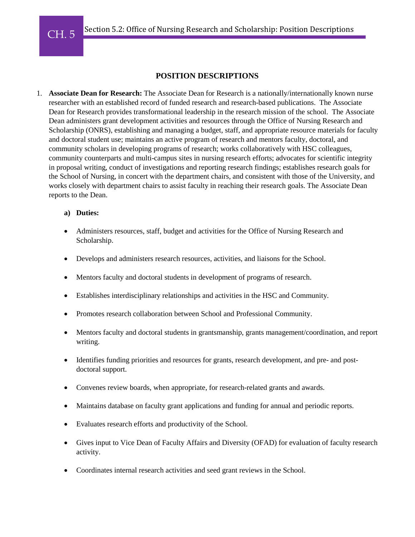# **POSITION DESCRIPTIONS**

1. **Associate Dean for Research:** The Associate Dean for Research is a nationally/internationally known nurse researcher with an established record of funded research and research-based publications. The Associate Dean for Research provides transformational leadership in the research mission of the school. The Associate Dean administers grant development activities and resources through the Office of Nursing Research and Scholarship (ONRS), establishing and managing a budget, staff, and appropriate resource materials for faculty and doctoral student use; maintains an active program of research and mentors faculty, doctoral, and community scholars in developing programs of research; works collaboratively with HSC colleagues, community counterparts and multi-campus sites in nursing research efforts; advocates for scientific integrity in proposal writing, conduct of investigations and reporting research findings; establishes research goals for the School of Nursing, in concert with the department chairs, and consistent with those of the University, and works closely with department chairs to assist faculty in reaching their research goals. The Associate Dean reports to the Dean.

### **a) Duties:**

- Administers resources, staff, budget and activities for the Office of Nursing Research and Scholarship.
- Develops and administers research resources, activities, and liaisons for the School.
- Mentors faculty and doctoral students in development of programs of research.
- Establishes interdisciplinary relationships and activities in the HSC and Community.
- Promotes research collaboration between School and Professional Community.
- Mentors faculty and doctoral students in grantsmanship, grants management/coordination, and report writing.
- Identifies funding priorities and resources for grants, research development, and pre- and postdoctoral support.
- Convenes review boards, when appropriate, for research-related grants and awards.
- Maintains database on faculty grant applications and funding for annual and periodic reports.
- Evaluates research efforts and productivity of the School.
- Gives input to Vice Dean of Faculty Affairs and Diversity (OFAD) for evaluation of faculty research activity.
- Coordinates internal research activities and seed grant reviews in the School.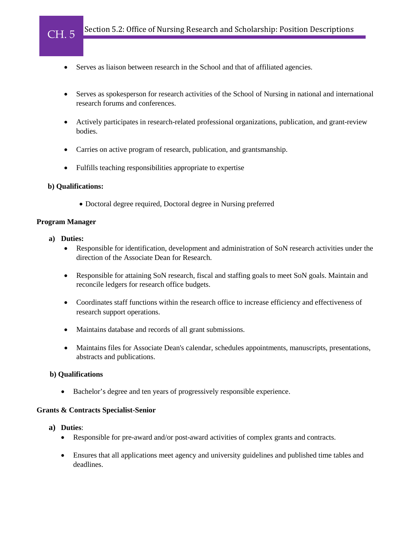- Serves as liaison between research in the School and that of affiliated agencies.
- Serves as spokesperson for research activities of the School of Nursing in national and international research forums and conferences.
- Actively participates in research-related professional organizations, publication, and grant-review bodies.
- Carries on active program of research, publication, and grantsmanship.
- Fulfills teaching responsibilities appropriate to expertise

#### **b) Qualifications:**

• Doctoral degree required, Doctoral degree in Nursing preferred

#### **Program Manager**

CH. 5

- **a) Duties:** 
	- Responsible for identification, development and administration of SoN research activities under the direction of the Associate Dean for Research.
	- Responsible for attaining SoN research, fiscal and staffing goals to meet SoN goals. Maintain and reconcile ledgers for research office budgets.
	- Coordinates staff functions within the research office to increase efficiency and effectiveness of research support operations.
	- Maintains database and records of all grant submissions.
	- Maintains files for Associate Dean's calendar, schedules appointments, manuscripts, presentations, abstracts and publications.

#### **b) Qualifications**

• Bachelor's degree and ten years of progressively responsible experience.

#### **Grants & Contracts Specialist-Senior**

- **a) Duties**:
	- Responsible for pre-award and/or post-award activities of complex grants and contracts.
	- Ensures that all applications meet agency and university guidelines and published time tables and deadlines.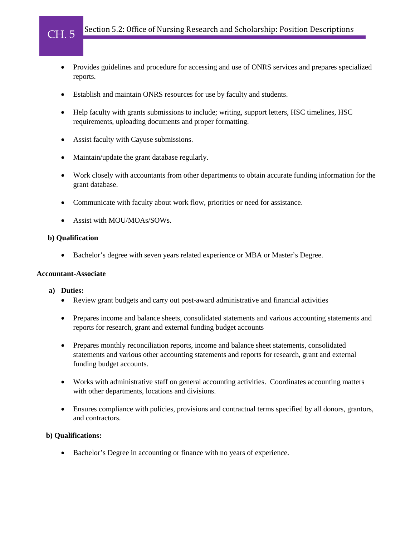- Provides guidelines and procedure for accessing and use of ONRS services and prepares specialized reports.
- Establish and maintain ONRS resources for use by faculty and students.
- Help faculty with grants submissions to include; writing, support letters, HSC timelines, HSC requirements, uploading documents and proper formatting.
- Assist faculty with Cayuse submissions.
- Maintain/update the grant database regularly.
- Work closely with accountants from other departments to obtain accurate funding information for the grant database.
- Communicate with faculty about work flow, priorities or need for assistance.
- Assist with MOU/MOAs/SOWs.

#### **b) Qualification**

CH. 5

• Bachelor's degree with seven years related experience or MBA or Master's Degree.

#### **Accountant-Associate**

#### **a) Duties:**

- Review grant budgets and carry out post-award administrative and financial activities
- Prepares income and balance sheets, consolidated statements and various accounting statements and reports for research, grant and external funding budget accounts
- Prepares monthly reconciliation reports, income and balance sheet statements, consolidated statements and various other accounting statements and reports for research, grant and external funding budget accounts.
- Works with administrative staff on general accounting activities. Coordinates accounting matters with other departments, locations and divisions.
- Ensures compliance with policies, provisions and contractual terms specified by all donors, grantors, and contractors.

#### **b) Qualifications:**

• Bachelor's Degree in accounting or finance with no years of experience.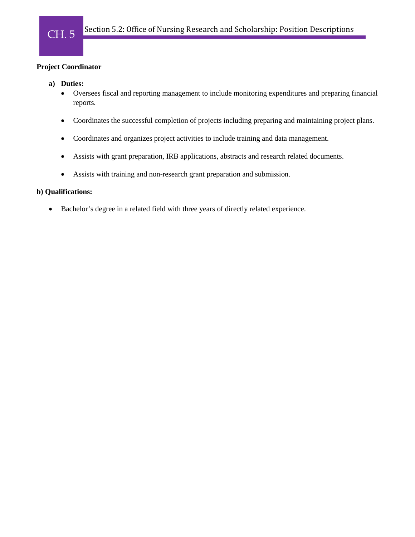### **Project Coordinator**

- **a) Duties:** 
	- Oversees fiscal and reporting management to include monitoring expenditures and preparing financial reports.
	- Coordinates the successful completion of projects including preparing and maintaining project plans.
	- Coordinates and organizes project activities to include training and data management.
	- Assists with grant preparation, IRB applications, abstracts and research related documents.
	- Assists with training and non-research grant preparation and submission.

# **b) Qualifications:**

• Bachelor's degree in a related field with three years of directly related experience.